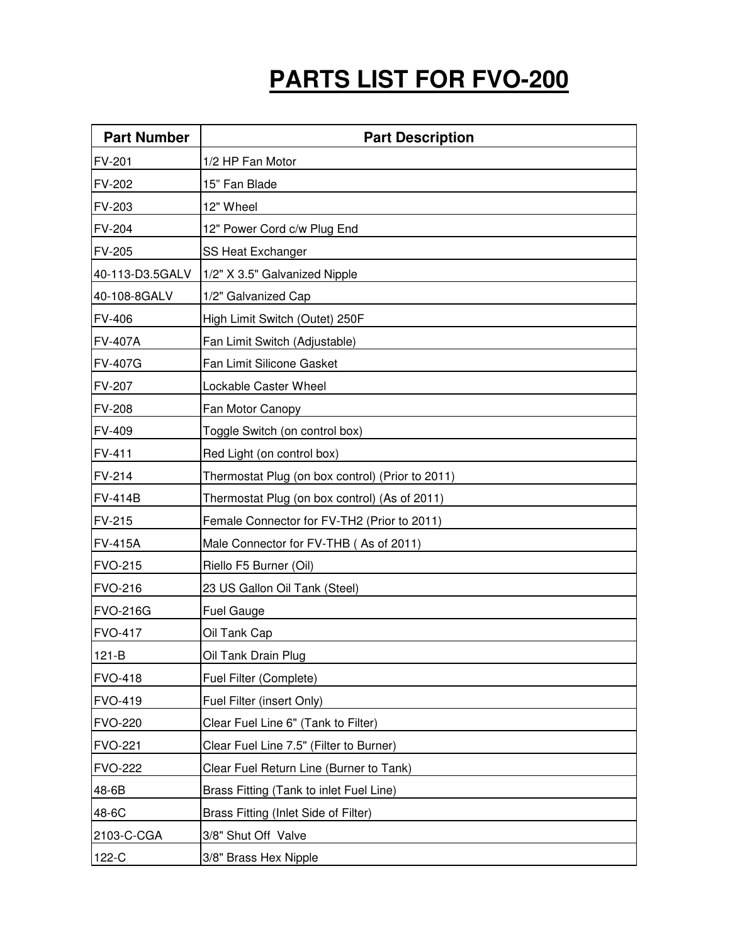## **PARTS LIST FOR FVO-200**

| <b>Part Number</b> | <b>Part Description</b>                          |
|--------------------|--------------------------------------------------|
| FV-201             | 1/2 HP Fan Motor                                 |
| FV-202             | 15" Fan Blade                                    |
| FV-203             | 12" Wheel                                        |
| FV-204             | 12" Power Cord c/w Plug End                      |
| FV-205             | SS Heat Exchanger                                |
| 40-113-D3.5GALV    | 1/2" X 3.5" Galvanized Nipple                    |
| 40-108-8GALV       | 1/2" Galvanized Cap                              |
| FV-406             | High Limit Switch (Outet) 250F                   |
| <b>FV-407A</b>     | Fan Limit Switch (Adjustable)                    |
| <b>FV-407G</b>     | Fan Limit Silicone Gasket                        |
| FV-207             | Lockable Caster Wheel                            |
| <b>FV-208</b>      | Fan Motor Canopy                                 |
| FV-409             | Toggle Switch (on control box)                   |
| FV-411             | Red Light (on control box)                       |
| FV-214             | Thermostat Plug (on box control) (Prior to 2011) |
| <b>FV-414B</b>     | Thermostat Plug (on box control) (As of 2011)    |
| FV-215             | Female Connector for FV-TH2 (Prior to 2011)      |
| <b>FV-415A</b>     | Male Connector for FV-THB (As of 2011)           |
| <b>FVO-215</b>     | Riello F5 Burner (Oil)                           |
| <b>FVO-216</b>     | 23 US Gallon Oil Tank (Steel)                    |
| <b>FVO-216G</b>    | <b>Fuel Gauge</b>                                |
| <b>FVO-417</b>     | Oil Tank Cap                                     |
| $121-B$            | Oil Tank Drain Plug                              |
| <b>FVO-418</b>     | Fuel Filter (Complete)                           |
| <b>FVO-419</b>     | Fuel Filter (insert Only)                        |
| <b>FVO-220</b>     | Clear Fuel Line 6" (Tank to Filter)              |
| <b>FVO-221</b>     | Clear Fuel Line 7.5" (Filter to Burner)          |
| <b>FVO-222</b>     | Clear Fuel Return Line (Burner to Tank)          |
| 48-6B              | Brass Fitting (Tank to inlet Fuel Line)          |
| 48-6C              | Brass Fitting (Inlet Side of Filter)             |
| 2103-C-CGA         | 3/8" Shut Off Valve                              |
| 122-C              | 3/8" Brass Hex Nipple                            |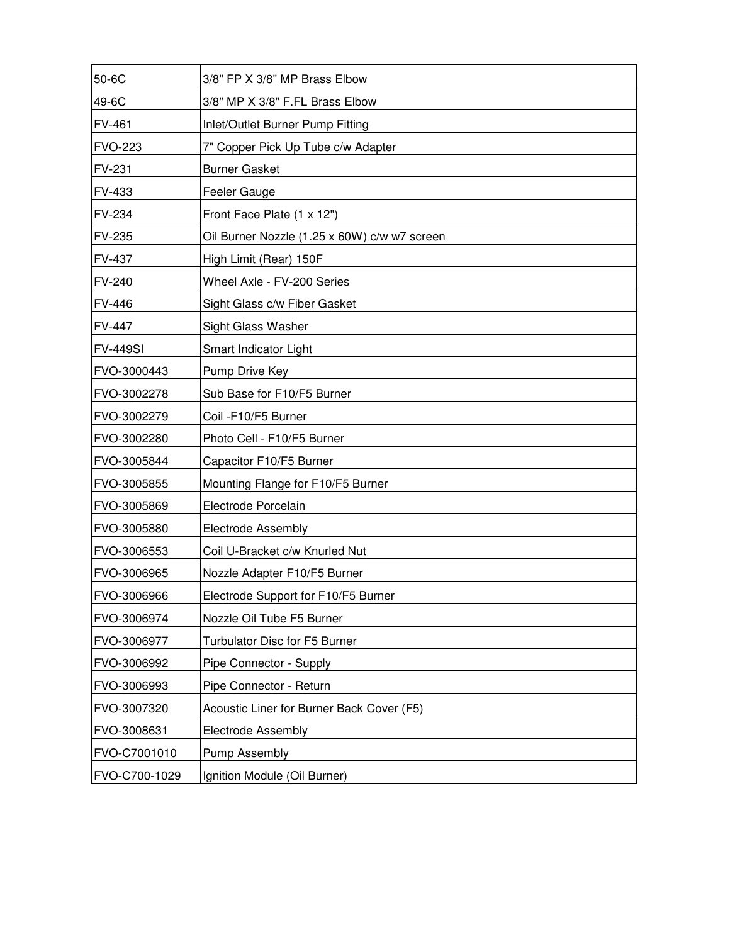| 50-6C           | 3/8" FP X 3/8" MP Brass Elbow                |
|-----------------|----------------------------------------------|
| 49-6C           | 3/8" MP X 3/8" F.FL Brass Elbow              |
| FV-461          | Inlet/Outlet Burner Pump Fitting             |
| <b>FVO-223</b>  | 7" Copper Pick Up Tube c/w Adapter           |
| FV-231          | <b>Burner Gasket</b>                         |
| <b>FV-433</b>   | Feeler Gauge                                 |
| FV-234          | Front Face Plate (1 x 12")                   |
| FV-235          | Oil Burner Nozzle (1.25 x 60W) c/w w7 screen |
| FV-437          | High Limit (Rear) 150F                       |
| FV-240          | Wheel Axle - FV-200 Series                   |
| <b>FV-446</b>   | Sight Glass c/w Fiber Gasket                 |
| FV-447          | Sight Glass Washer                           |
| <b>FV-449SI</b> | Smart Indicator Light                        |
| FVO-3000443     | Pump Drive Key                               |
| FVO-3002278     | Sub Base for F10/F5 Burner                   |
| FVO-3002279     | Coil -F10/F5 Burner                          |
| FVO-3002280     | Photo Cell - F10/F5 Burner                   |
| FVO-3005844     | Capacitor F10/F5 Burner                      |
| FVO-3005855     | Mounting Flange for F10/F5 Burner            |
| FVO-3005869     | Electrode Porcelain                          |
| FVO-3005880     | <b>Electrode Assembly</b>                    |
| FVO-3006553     | Coil U-Bracket c/w Knurled Nut               |
| FVO-3006965     | Nozzle Adapter F10/F5 Burner                 |
| FVO-3006966     | Electrode Support for F10/F5 Burner          |
| FVO-3006974     | Nozzle Oil Tube F5 Burner                    |
| FVO-3006977     | Turbulator Disc for F5 Burner                |
| FVO-3006992     | Pipe Connector - Supply                      |
| FVO-3006993     | Pipe Connector - Return                      |
| FVO-3007320     | Acoustic Liner for Burner Back Cover (F5)    |
| FVO-3008631     | Electrode Assembly                           |
| FVO-C7001010    | <b>Pump Assembly</b>                         |
| FVO-C700-1029   | Ignition Module (Oil Burner)                 |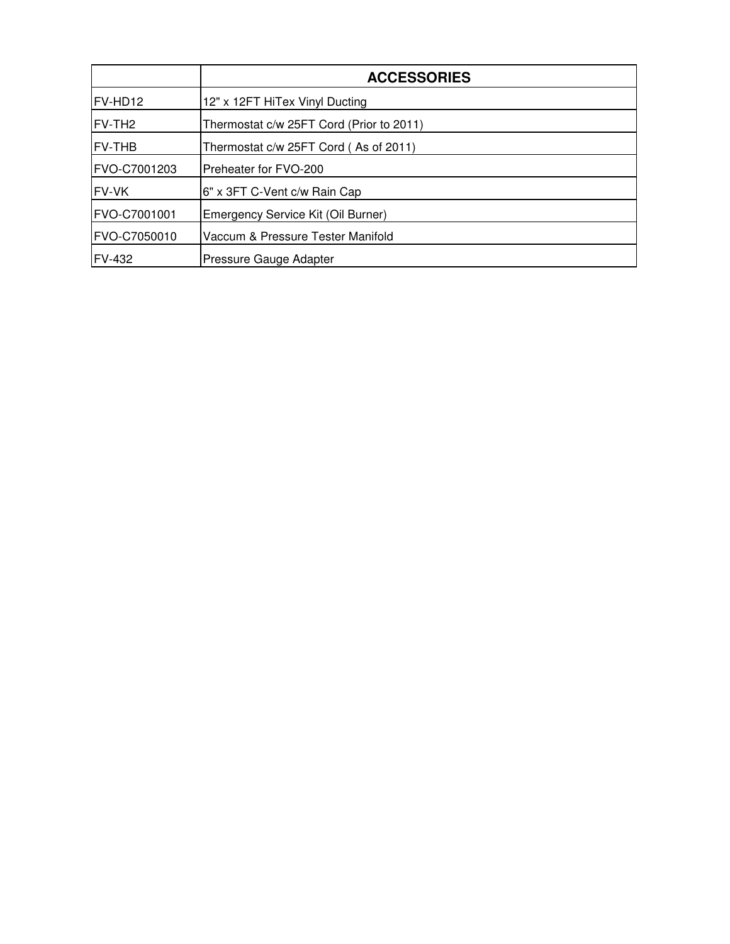|                    | <b>ACCESSORIES</b>                       |
|--------------------|------------------------------------------|
| FV-HD12            | 12" x 12FT HiTex Vinyl Ducting           |
| FV-TH <sub>2</sub> | Thermostat c/w 25FT Cord (Prior to 2011) |
| <b>FV-THB</b>      | Thermostat c/w 25FT Cord (As of 2011)    |
| FVO-C7001203       | Preheater for FVO-200                    |
| FV-VK              | 6" x 3FT C-Vent c/w Rain Cap             |
| FVO-C7001001       | Emergency Service Kit (Oil Burner)       |
| FVO-C7050010       | Vaccum & Pressure Tester Manifold        |
| <b>FV-432</b>      | Pressure Gauge Adapter                   |